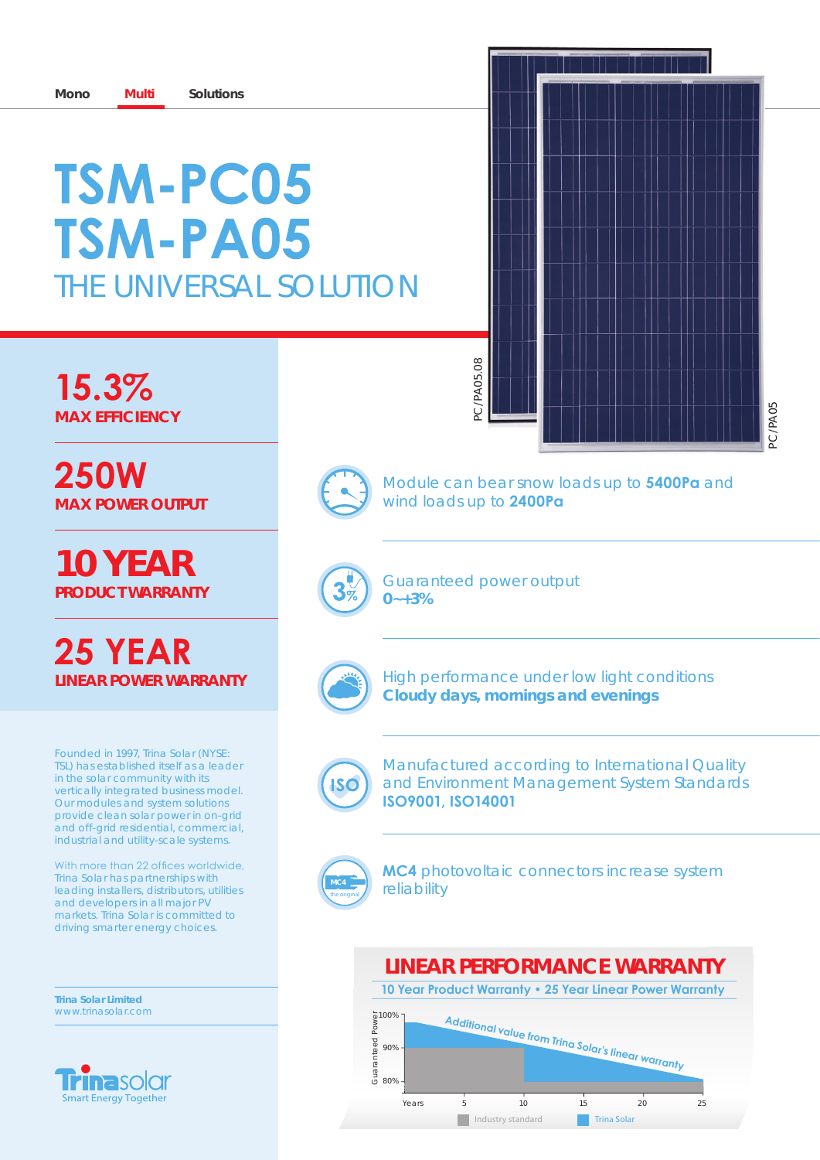# ThE UNiVErSaL SOLUTiON **TSM-PC05 TSM-PA05**

**15.3% maX efficiency**

**250W maX power ouTpuT**

**10 year producT warranTy**

## **25 YeAr Linear power warranTy**

Founded in 1997, Trina Solar (NYSE: TSL) has established itself as a leader in the solar community with its vertically integrated business model. Our modules and system solutions provide clean solar power in on-grid and off-grid residential, commercial, industrial and utility-scale systems.

With more than 22 offices worldwide, Trina Solar has partnerships with leading installers, distributors, utilities and developers in all major PV markets. Trina Solar is committed to driving smarter energy choices.

**Trina Solar Limited** www.trinasolar.com







Module can bear snow loads up to **5400Pa** and wind loads up to **2400Pa**

Guaranteed power output **0~+3%**



high performance under low light conditions **cloudy days, mornings and evenings**



Manufactured according to international Quality and Environment Management System Standards **ISO9001, ISO14001**



**MC4** photovoltaic connectors increase system reliability